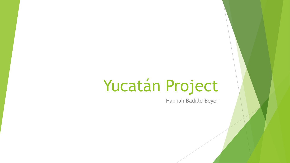# Yucatán Project

Hannah Badillo-Beyer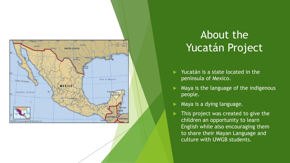

## About the Yucatán Project

- Yucatán is a state located in the peninsula of Mexico.
- Maya is the language of the indigenous people.
- Maya is a dying language.
- This project was created to give the children an opportunity to learn English while also encouraging them to share their Mayan Language and culture with UWGB students.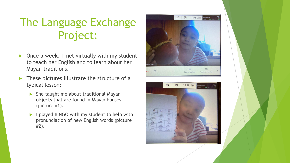# The Language Exchange Project:

- Once a week, I met virtually with my student to teach her English and to learn about her Mayan traditions.
- These pictures illustrate the structure of a typical lesson:
	- $\triangleright$  She taught me about traditional Mayan objects that are found in Mayan houses (picture #1).
	- I played BINGO with my student to help with pronunciation of new English words (picture #2).

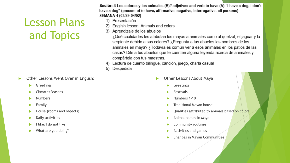### Lesson Plans and Topics

- Other Lessons Went Over in English:
	- Greetings
	- Climate/Seasons
	- Numbers
	- $\blacktriangleright$  Family
	- House (rooms and objects)
	- $\blacktriangleright$  Daily activities
	- I like/I do not like
	- What are you doing?

Sesión 4 Los colores y los animales (B)// adjetives and verb to have (A) "I have a dog, I don't have a dog" (present of to have, affirmative, negative, interrogative- all persons) SEMANA 4 (03/29-04/02)

- 1) Presentación
- English lesson: Animals and colors
- 3) Aprendizaje de los abuelos

¿Qué cualidades les atribuían los mayas a animales como al quetzal, el jaguar y la serpiente debido a sus colores? ¿Pregunta a tus abuelos los nombres de los animales en maya? ¿Todavía es común ver a esos animales en los patios de las casas? Dile a tus abuelos que te cuenten alguna leyenda acerca de animales y compártela con tus maestras.

- 4) Lectura de cuento bilingüe, canción, juego, charla casual
- 5) Despedida

- Other Lessons About Maya
	- Greetings
	- Festivals
	- Numbers 1-10
	- Traditional Mayan house
	- Qualities attributed to animals based on colors
	- Animal names in Maya
	- Community routines
	- Activities and games
	- Changes in Mayan Communities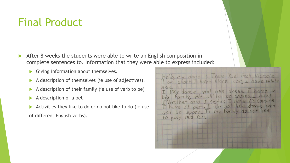### Final Product

- After 8 weeks the students were able to write an English composition in complete sentences to. Information that they were able to express included:
	- Giving information about themselves.
	- $\blacktriangleright$  A description of themselves (ie use of adjectives).
	- $\blacktriangleright$  A description of their family (ie use of verb to be)
	- $\blacktriangleright$  A description of a pet
	- Activities they like to do or do not like to do (ie use of different English verbs).

| Skin                                                                                                  | Hello, my name is Irene Yael Pech Victoria<br>I am short, I have black hair, I have white                                     |
|-------------------------------------------------------------------------------------------------------|-------------------------------------------------------------------------------------------------------------------------------|
| big Family, we all to do chores. I have<br>and bo sport. To my family do not like<br>to play and Yun. | I like dance and use dress. I have a<br>I brother and I sister, I have 13 Cousins<br>I have 11 pets. I du not like draw, pain |
|                                                                                                       |                                                                                                                               |